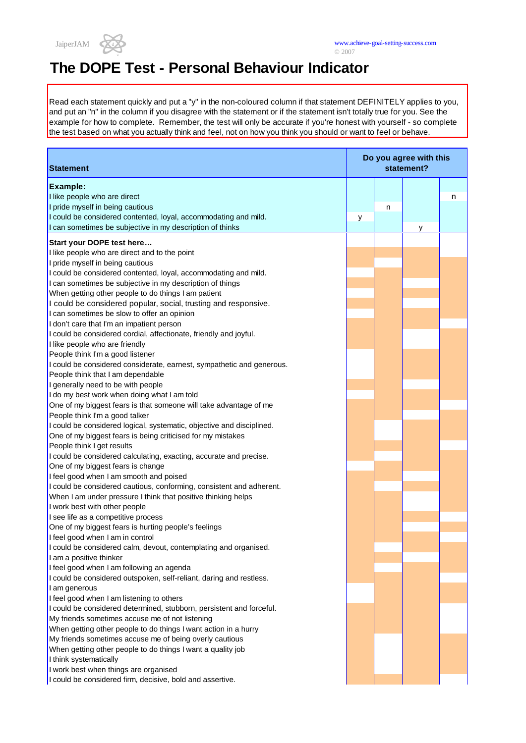

Read each statement quickly and put a "y" in the non-coloured column if that statement DEFINITELY applies to you, and put an "n" in the column if you disagree with the statement or if the statement isn't totally true for you. See the example for how to complete. Remember, the test will only be accurate if you're honest with yourself - so complete the test based on what you actually think and feel, not on how you think you should or want to feel or behave.

| <b>Statement</b>                                                      | Do you agree with this<br>statement? |   |   |   |
|-----------------------------------------------------------------------|--------------------------------------|---|---|---|
| Example:                                                              |                                      |   |   |   |
| I like people who are direct                                          |                                      |   |   | n |
| I pride myself in being cautious                                      |                                      | n |   |   |
| I could be considered contented, loyal, accommodating and mild.       | y                                    |   |   |   |
| I can sometimes be subjective in my description of thinks             |                                      |   | y |   |
| Start your DOPE test here                                             |                                      |   |   |   |
| I like people who are direct and to the point                         |                                      |   |   |   |
| I pride myself in being cautious                                      |                                      |   |   |   |
| I could be considered contented, loyal, accommodating and mild.       |                                      |   |   |   |
| I can sometimes be subjective in my description of things             |                                      |   |   |   |
| When getting other people to do things I am patient                   |                                      |   |   |   |
| I could be considered popular, social, trusting and responsive.       |                                      |   |   |   |
| I can sometimes be slow to offer an opinion                           |                                      |   |   |   |
| I don't care that I'm an impatient person                             |                                      |   |   |   |
| I could be considered cordial, affectionate, friendly and joyful.     |                                      |   |   |   |
| I like people who are friendly                                        |                                      |   |   |   |
| People think I'm a good listener                                      |                                      |   |   |   |
| I could be considered considerate, earnest, sympathetic and generous. |                                      |   |   |   |
| People think that I am dependable                                     |                                      |   |   |   |
| I generally need to be with people                                    |                                      |   |   |   |
| I do my best work when doing what I am told                           |                                      |   |   |   |
| One of my biggest fears is that someone will take advantage of me     |                                      |   |   |   |
| People think I'm a good talker                                        |                                      |   |   |   |
| I could be considered logical, systematic, objective and disciplined. |                                      |   |   |   |
| One of my biggest fears is being criticised for my mistakes           |                                      |   |   |   |
| People think I get results                                            |                                      |   |   |   |
| I could be considered calculating, exacting, accurate and precise.    |                                      |   |   |   |
| One of my biggest fears is change                                     |                                      |   |   |   |
| I feel good when I am smooth and poised                               |                                      |   |   |   |
| I could be considered cautious, conforming, consistent and adherent.  |                                      |   |   |   |
| When I am under pressure I think that positive thinking helps         |                                      |   |   |   |
| I work best with other people                                         |                                      |   |   |   |
| I see life as a competitive process                                   |                                      |   |   |   |
| One of my biggest fears is hurting people's feelings                  |                                      |   |   |   |
| I feel good when I am in control                                      |                                      |   |   |   |
| I could be considered calm, devout, contemplating and organised.      |                                      |   |   |   |
| I am a positive thinker                                               |                                      |   |   |   |
| I feel good when I am following an agenda                             |                                      |   |   |   |
| I could be considered outspoken, self-reliant, daring and restless.   |                                      |   |   |   |
| I am generous                                                         |                                      |   |   |   |
| I feel good when I am listening to others                             |                                      |   |   |   |
| I could be considered determined, stubborn, persistent and forceful.  |                                      |   |   |   |
| My friends sometimes accuse me of not listening                       |                                      |   |   |   |
| When getting other people to do things I want action in a hurry       |                                      |   |   |   |
| My friends sometimes accuse me of being overly cautious               |                                      |   |   |   |
| When getting other people to do things I want a quality job           |                                      |   |   |   |
| I think systematically                                                |                                      |   |   |   |
| I work best when things are organised                                 |                                      |   |   |   |
| I could be considered firm, decisive, bold and assertive.             |                                      |   |   |   |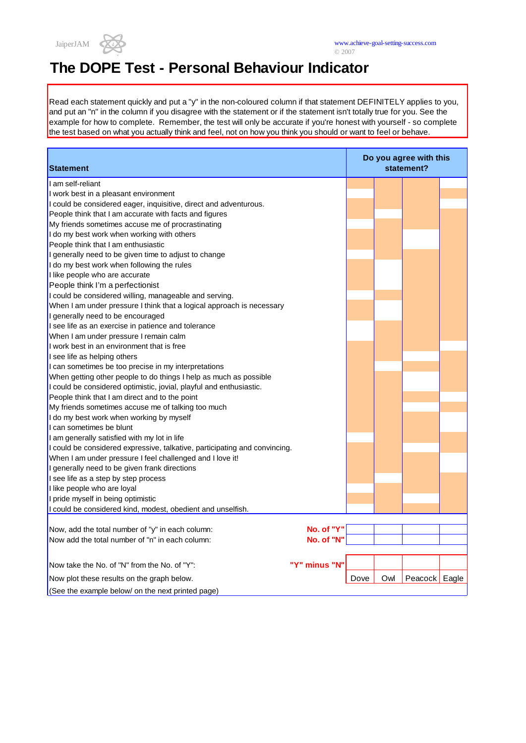

Read each statement quickly and put a "y" in the non-coloured column if that statement DEFINITELY applies to you, and put an "n" in the column if you disagree with the statement or if the statement isn't totally true for you. See the example for how to complete. Remember, the test will only be accurate if you're honest with yourself - so complete the test based on what you actually think and feel, not on how you think you should or want to feel or behave.

| <b>Statement</b>                                                           |               | Do you agree with this<br>statement? |     |                 |  |
|----------------------------------------------------------------------------|---------------|--------------------------------------|-----|-----------------|--|
| I am self-reliant                                                          |               |                                      |     |                 |  |
| I work best in a pleasant environment                                      |               |                                      |     |                 |  |
| I could be considered eager, inquisitive, direct and adventurous.          |               |                                      |     |                 |  |
| People think that I am accurate with facts and figures                     |               |                                      |     |                 |  |
| My friends sometimes accuse me of procrastinating                          |               |                                      |     |                 |  |
| I do my best work when working with others                                 |               |                                      |     |                 |  |
| People think that I am enthusiastic                                        |               |                                      |     |                 |  |
| I generally need to be given time to adjust to change                      |               |                                      |     |                 |  |
| I do my best work when following the rules                                 |               |                                      |     |                 |  |
| I like people who are accurate                                             |               |                                      |     |                 |  |
| People think I'm a perfectionist                                           |               |                                      |     |                 |  |
| I could be considered willing, manageable and serving.                     |               |                                      |     |                 |  |
| When I am under pressure I think that a logical approach is necessary      |               |                                      |     |                 |  |
| I generally need to be encouraged                                          |               |                                      |     |                 |  |
| I see life as an exercise in patience and tolerance                        |               |                                      |     |                 |  |
| When I am under pressure I remain calm                                     |               |                                      |     |                 |  |
| I work best in an environment that is free                                 |               |                                      |     |                 |  |
| I see life as helping others                                               |               |                                      |     |                 |  |
| I can sometimes be too precise in my interpretations                       |               |                                      |     |                 |  |
| When getting other people to do things I help as much as possible          |               |                                      |     |                 |  |
| I could be considered optimistic, jovial, playful and enthusiastic.        |               |                                      |     |                 |  |
| People think that I am direct and to the point                             |               |                                      |     |                 |  |
| My friends sometimes accuse me of talking too much                         |               |                                      |     |                 |  |
| I do my best work when working by myself                                   |               |                                      |     |                 |  |
| I can sometimes be blunt                                                   |               |                                      |     |                 |  |
| I am generally satisfied with my lot in life                               |               |                                      |     |                 |  |
| I could be considered expressive, talkative, participating and convincing. |               |                                      |     |                 |  |
| When I am under pressure I feel challenged and I love it!                  |               |                                      |     |                 |  |
| I generally need to be given frank directions                              |               |                                      |     |                 |  |
| I see life as a step by step process                                       |               |                                      |     |                 |  |
| I like people who are loyal                                                |               |                                      |     |                 |  |
| I pride myself in being optimistic                                         |               |                                      |     |                 |  |
| I could be considered kind, modest, obedient and unselfish.                |               |                                      |     |                 |  |
|                                                                            |               |                                      |     |                 |  |
| Now, add the total number of "y" in each column:                           | No. of "Y"    |                                      |     |                 |  |
| Now add the total number of "n" in each column:                            | No. of "N"    |                                      |     |                 |  |
|                                                                            |               |                                      |     |                 |  |
| Now take the No. of "N" from the No. of "Y":                               | "Y" minus "N" |                                      |     |                 |  |
| Now plot these results on the graph below.                                 |               | Dove                                 | Owl | Peacock   Eagle |  |
| (See the example below/ on the next printed page)                          |               |                                      |     |                 |  |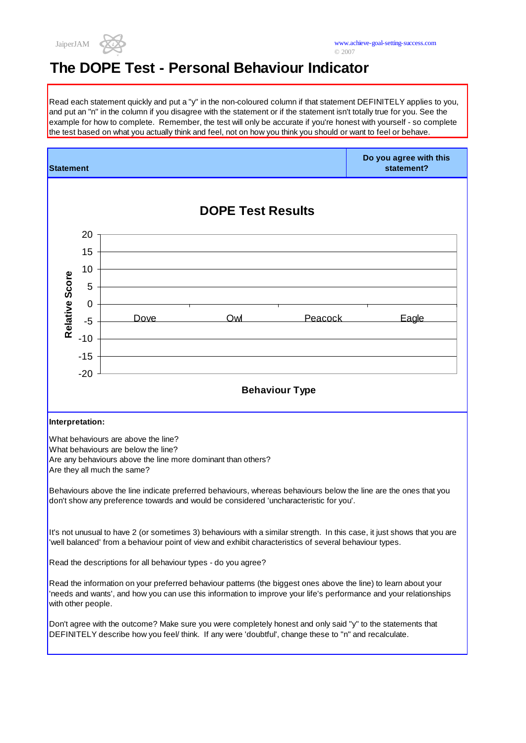

Read each statement quickly and put a "y" in the non-coloured column if that statement DEFINITELY applies to you, and put an "n" in the column if you disagree with the statement or if the statement isn't totally true for you. See the example for how to complete. Remember, the test will only be accurate if you're honest with yourself - so complete the test based on what you actually think and feel, not on how you think you should or want to feel or behave.

| <b>Statement</b>                                                                                                                                                                                                                                           |                          |      |     |                       | Do you agree with this<br>statement? |  |  |
|------------------------------------------------------------------------------------------------------------------------------------------------------------------------------------------------------------------------------------------------------------|--------------------------|------|-----|-----------------------|--------------------------------------|--|--|
|                                                                                                                                                                                                                                                            | <b>DOPE Test Results</b> |      |     |                       |                                      |  |  |
|                                                                                                                                                                                                                                                            | 20                       |      |     |                       |                                      |  |  |
|                                                                                                                                                                                                                                                            | 15                       |      |     |                       |                                      |  |  |
|                                                                                                                                                                                                                                                            | 10                       |      |     |                       |                                      |  |  |
|                                                                                                                                                                                                                                                            | 5                        |      |     |                       |                                      |  |  |
|                                                                                                                                                                                                                                                            | 0                        |      |     |                       |                                      |  |  |
| Relative Score                                                                                                                                                                                                                                             | $-5$                     | Dove | Owl | Peacock               | Eagle                                |  |  |
|                                                                                                                                                                                                                                                            | $-10$                    |      |     |                       |                                      |  |  |
|                                                                                                                                                                                                                                                            | $-15$                    |      |     |                       |                                      |  |  |
|                                                                                                                                                                                                                                                            | $-20$                    |      |     |                       |                                      |  |  |
|                                                                                                                                                                                                                                                            |                          |      |     | <b>Behaviour Type</b> |                                      |  |  |
| Interpretation:                                                                                                                                                                                                                                            |                          |      |     |                       |                                      |  |  |
| What behaviours are above the line?<br>What behaviours are below the line?<br>Are any behaviours above the line more dominant than others?<br>Are they all much the same?                                                                                  |                          |      |     |                       |                                      |  |  |
| Behaviours above the line indicate preferred behaviours, whereas behaviours below the line are the ones that you<br>don't show any preference towards and would be considered 'uncharacteristic for you'.                                                  |                          |      |     |                       |                                      |  |  |
| It's not unusual to have 2 (or sometimes 3) behaviours with a similar strength. In this case, it just shows that you are<br>well balanced' from a behaviour point of view and exhibit characteristics of several behaviour types.                          |                          |      |     |                       |                                      |  |  |
| Read the descriptions for all behaviour types - do you agree?                                                                                                                                                                                              |                          |      |     |                       |                                      |  |  |
| Read the information on your preferred behaviour patterns (the biggest ones above the line) to learn about your<br>'needs and wants', and how you can use this information to improve your life's performance and your relationships<br>with other people. |                          |      |     |                       |                                      |  |  |
| Don't agree with the outcome? Make sure you were completely honest and only said "y" to the statements that<br>DEFINITELY describe how you feel/ think. If any were 'doubtful', change these to "n" and recalculate.                                       |                          |      |     |                       |                                      |  |  |